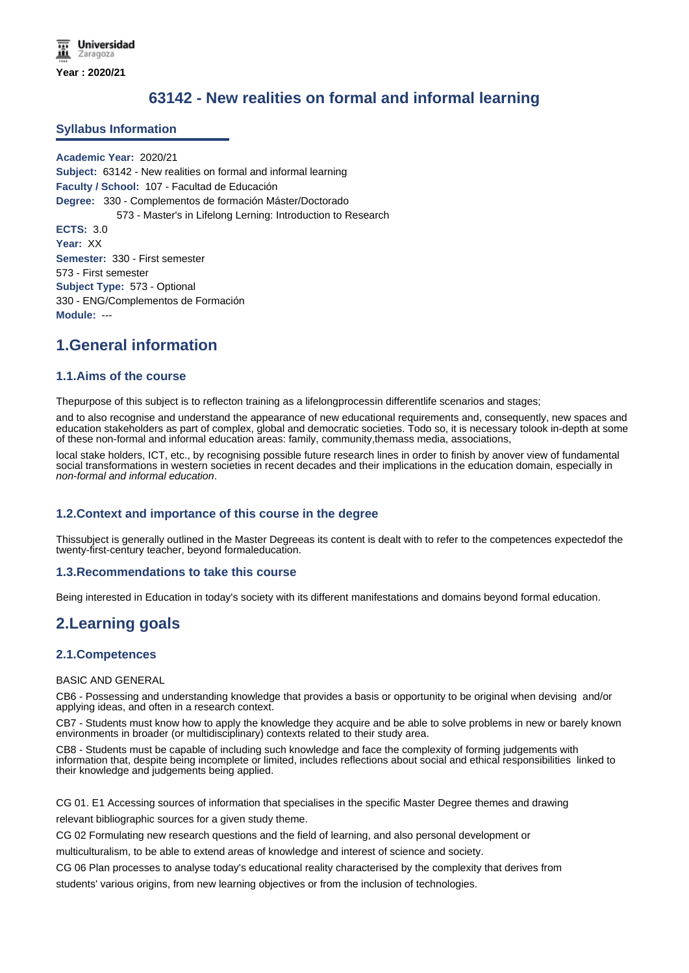# **63142 - New realities on formal and informal learning**

#### **Syllabus Information**

**Academic Year:** 2020/21 **Subject:** 63142 - New realities on formal and informal learning **Faculty / School:** 107 - Facultad de Educación **Degree:** 330 - Complementos de formación Máster/Doctorado 573 - Master's in Lifelong Lerning: Introduction to Research **ECTS:** 3.0 **Year:** XX **Semester:** 330 - First semester 573 - First semester **Subject Type:** 573 - Optional 330 - ENG/Complementos de Formación **Module:** ---

## **1.General information**

#### **1.1.Aims of the course**

Thepurpose of this subject is to reflecton training as a lifelongprocessin differentlife scenarios and stages;

and to also recognise and understand the appearance of new educational requirements and, consequently, new spaces and education stakeholders as part of complex, global and democratic societies. Todo so, it is necessary tolook in-depth at some of these non-formal and informal education areas: family, community,themass media, associations,

local stake holders, ICT, etc., by recognising possible future research lines in order to finish by anover view of fundamental social transformations in western societies in recent decades and their implications in the education domain, especially in *non-formal and informal education*.

### **1.2.Context and importance of this course in the degree**

Thissubject is generally outlined in the Master Degreeas its content is dealt with to refer to the competences expectedof the twenty-first-century teacher, beyond formaleducation.

#### **1.3.Recommendations to take this course**

Being interested in Education in today's society with its different manifestations and domains beyond formal education.

## **2.Learning goals**

#### **2.1.Competences**

#### BASIC AND GENERAL

CB6 - Possessing and understanding knowledge that provides a basis or opportunity to be original when devising and/or applying ideas, and often in a research context.

CB7 - Students must know how to apply the knowledge they acquire and be able to solve problems in new or barely known environments in broader (or multidisciplinary) contexts related to their study area.

CB8 - Students must be capable of including such knowledge and face the complexity of forming judgements with information that, despite being incomplete or limited, includes reflections about social and ethical responsibilities linked to their knowledge and judgements being applied.

CG 01. E1 Accessing sources of information that specialises in the specific Master Degree themes and drawing relevant bibliographic sources for a given study theme.

CG 02 Formulating new research questions and the field of learning, and also personal development or

multiculturalism, to be able to extend areas of knowledge and interest of science and society.

CG 06 Plan processes to analyse today's educational reality characterised by the complexity that derives from

students' various origins, from new learning objectives or from the inclusion of technologies.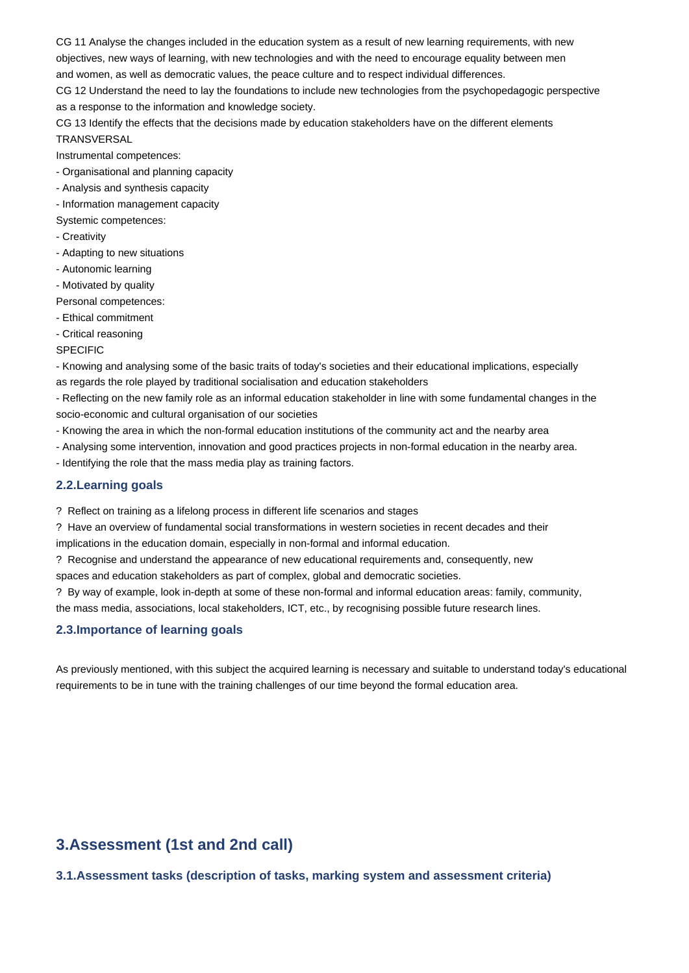CG 11 Analyse the changes included in the education system as a result of new learning requirements, with new objectives, new ways of learning, with new technologies and with the need to encourage equality between men and women, as well as democratic values, the peace culture and to respect individual differences.

CG 12 Understand the need to lay the foundations to include new technologies from the psychopedagogic perspective as a response to the information and knowledge society.

CG 13 Identify the effects that the decisions made by education stakeholders have on the different elements **TRANSVERSAL** 

Instrumental competences:

- Organisational and planning capacity

- Analysis and synthesis capacity
- Information management capacity
- Systemic competences:
- Creativity
- Adapting to new situations
- Autonomic learning
- Motivated by quality
- Personal competences:
- Ethical commitment
- Critical reasoning

#### SPECIFIC

- Knowing and analysing some of the basic traits of today's societies and their educational implications, especially as regards the role played by traditional socialisation and education stakeholders

- Reflecting on the new family role as an informal education stakeholder in line with some fundamental changes in the socio-economic and cultural organisation of our societies

- Knowing the area in which the non-formal education institutions of the community act and the nearby area
- Analysing some intervention, innovation and good practices projects in non-formal education in the nearby area.
- Identifying the role that the mass media play as training factors.

### **2.2.Learning goals**

? Reflect on training as a lifelong process in different life scenarios and stages

? Have an overview of fundamental social transformations in western societies in recent decades and their implications in the education domain, especially in non-formal and informal education.

? Recognise and understand the appearance of new educational requirements and, consequently, new

spaces and education stakeholders as part of complex, global and democratic societies.

? By way of example, look in-depth at some of these non-formal and informal education areas: family, community, the mass media, associations, local stakeholders, ICT, etc., by recognising possible future research lines.

### **2.3.Importance of learning goals**

As previously mentioned, with this subject the acquired learning is necessary and suitable to understand today's educational requirements to be in tune with the training challenges of our time beyond the formal education area.

# **3.Assessment (1st and 2nd call)**

### **3.1.Assessment tasks (description of tasks, marking system and assessment criteria)**